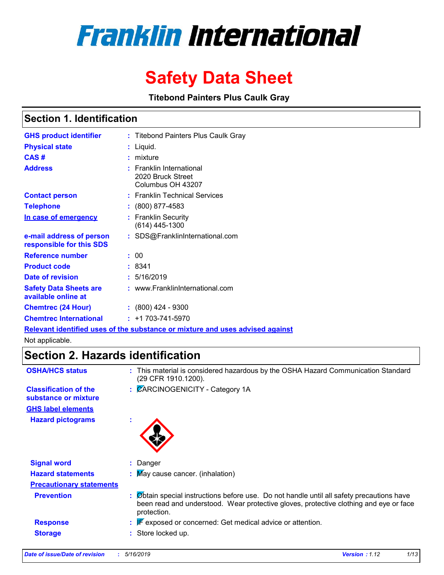# **Franklin International**

## **Safety Data Sheet**

**Titebond Painters Plus Caulk Gray**

### **Section 1. Identification**

| <b>GHS product identifier</b>                        | : Titebond Painters Plus Caulk Gray                                           |
|------------------------------------------------------|-------------------------------------------------------------------------------|
| <b>Physical state</b>                                | : Liquid.                                                                     |
| CAS#                                                 | $:$ mixture                                                                   |
| <b>Address</b>                                       | $:$ Franklin International<br>2020 Bruck Street<br>Columbus OH 43207          |
| <b>Contact person</b>                                | : Franklin Technical Services                                                 |
| <b>Telephone</b>                                     | : (800) 877-4583                                                              |
| In case of emergency                                 | : Franklin Security<br>$(614)$ 445-1300                                       |
| e-mail address of person<br>responsible for this SDS | : SDS@FranklinInternational.com                                               |
| <b>Reference number</b>                              | : 00                                                                          |
| <b>Product code</b>                                  | : 8341                                                                        |
| Date of revision                                     | : 5/16/2019                                                                   |
| <b>Safety Data Sheets are</b><br>available online at | : www.FranklinInternational.com                                               |
| <b>Chemtrec (24 Hour)</b>                            | $: (800)$ 424 - 9300                                                          |
| <b>Chemtrec International</b>                        | $: +1703 - 741 - 5970$                                                        |
|                                                      | Relevant identified uses of the substance or mixture and uses advised against |

Not applicable.

### **Section 2. Hazards identification**

| <b>OSHA/HCS status</b>                               | : This material is considered hazardous by the OSHA Hazard Communication Standard<br>(29 CFR 1910.1200).                                                                                        |
|------------------------------------------------------|-------------------------------------------------------------------------------------------------------------------------------------------------------------------------------------------------|
| <b>Classification of the</b><br>substance or mixture | : CARCINOGENICITY - Category 1A                                                                                                                                                                 |
| <b>GHS label elements</b>                            |                                                                                                                                                                                                 |
| <b>Hazard pictograms</b>                             |                                                                                                                                                                                                 |
| <b>Signal word</b>                                   | : Danger                                                                                                                                                                                        |
| <b>Hazard statements</b>                             | : May cause cancer. (inhalation)                                                                                                                                                                |
| <b>Precautionary statements</b>                      |                                                                                                                                                                                                 |
| <b>Prevention</b>                                    | Øbtain special instructions before use. Do not handle until all safety precautions have<br>been read and understood. Wear protective gloves, protective clothing and eye or face<br>protection. |
| <b>Response</b>                                      | $\mathbb{F}$ exposed or concerned: Get medical advice or attention.                                                                                                                             |
| <b>Storage</b>                                       | : Store locked up.                                                                                                                                                                              |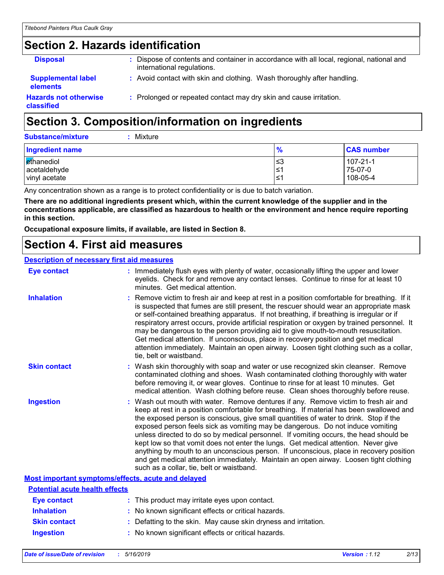### **Section 2. Hazards identification**

| <b>Disposal</b>                              | : Dispose of contents and container in accordance with all local, regional, national and<br>international regulations. |
|----------------------------------------------|------------------------------------------------------------------------------------------------------------------------|
| <b>Supplemental label</b><br><b>elements</b> | : Avoid contact with skin and clothing. Wash thoroughly after handling.                                                |
| <b>Hazards not otherwise</b><br>classified   | : Prolonged or repeated contact may dry skin and cause irritation.                                                     |

### **Section 3. Composition/information on ingredients**

| <b>Substance/mixture</b> | : Mixture |
|--------------------------|-----------|
|                          |           |

| <b>Ingredient name</b> | %   | <b>CAS number</b> |
|------------------------|-----|-------------------|
| ethanediol             | ∣≤3 | 107-21-1          |
| acetaldehyde           | l≤1 | 75-07-0           |
| vinyl acetate          | l≤1 | 108-05-4          |

Any concentration shown as a range is to protect confidentiality or is due to batch variation.

**There are no additional ingredients present which, within the current knowledge of the supplier and in the concentrations applicable, are classified as hazardous to health or the environment and hence require reporting in this section.**

**Occupational exposure limits, if available, are listed in Section 8.**

### **Section 4. First aid measures**

#### **Description of necessary first aid measures**

| <b>Eye contact</b>                                 | : Immediately flush eyes with plenty of water, occasionally lifting the upper and lower<br>eyelids. Check for and remove any contact lenses. Continue to rinse for at least 10<br>minutes. Get medical attention.                                                                                                                                                                                                                                                                                                                                                                                                                                                                                                                                                         |
|----------------------------------------------------|---------------------------------------------------------------------------------------------------------------------------------------------------------------------------------------------------------------------------------------------------------------------------------------------------------------------------------------------------------------------------------------------------------------------------------------------------------------------------------------------------------------------------------------------------------------------------------------------------------------------------------------------------------------------------------------------------------------------------------------------------------------------------|
| <b>Inhalation</b>                                  | : Remove victim to fresh air and keep at rest in a position comfortable for breathing. If it<br>is suspected that fumes are still present, the rescuer should wear an appropriate mask<br>or self-contained breathing apparatus. If not breathing, if breathing is irregular or if<br>respiratory arrest occurs, provide artificial respiration or oxygen by trained personnel. It<br>may be dangerous to the person providing aid to give mouth-to-mouth resuscitation.<br>Get medical attention. If unconscious, place in recovery position and get medical<br>attention immediately. Maintain an open airway. Loosen tight clothing such as a collar,<br>tie, belt or waistband.                                                                                       |
| <b>Skin contact</b>                                | : Wash skin thoroughly with soap and water or use recognized skin cleanser. Remove<br>contaminated clothing and shoes. Wash contaminated clothing thoroughly with water<br>before removing it, or wear gloves. Continue to rinse for at least 10 minutes. Get<br>medical attention. Wash clothing before reuse. Clean shoes thoroughly before reuse.                                                                                                                                                                                                                                                                                                                                                                                                                      |
| <b>Ingestion</b>                                   | : Wash out mouth with water. Remove dentures if any. Remove victim to fresh air and<br>keep at rest in a position comfortable for breathing. If material has been swallowed and<br>the exposed person is conscious, give small quantities of water to drink. Stop if the<br>exposed person feels sick as vomiting may be dangerous. Do not induce vomiting<br>unless directed to do so by medical personnel. If vomiting occurs, the head should be<br>kept low so that vomit does not enter the lungs. Get medical attention. Never give<br>anything by mouth to an unconscious person. If unconscious, place in recovery position<br>and get medical attention immediately. Maintain an open airway. Loosen tight clothing<br>such as a collar, tie, belt or waistband. |
| Most important symptoms/effects, acute and delayed |                                                                                                                                                                                                                                                                                                                                                                                                                                                                                                                                                                                                                                                                                                                                                                           |
| <b>Potential acute health effects</b>              |                                                                                                                                                                                                                                                                                                                                                                                                                                                                                                                                                                                                                                                                                                                                                                           |
| <b>Eye contact</b>                                 | : This product may irritate eyes upon contact.                                                                                                                                                                                                                                                                                                                                                                                                                                                                                                                                                                                                                                                                                                                            |
| <b>Inhalation</b>                                  | : No known significant effects or critical hazards.                                                                                                                                                                                                                                                                                                                                                                                                                                                                                                                                                                                                                                                                                                                       |
| <b>Skin contact</b>                                | : Defatting to the skin. May cause skin dryness and irritation.                                                                                                                                                                                                                                                                                                                                                                                                                                                                                                                                                                                                                                                                                                           |

**Ingestion :** No known significant effects or critical hazards.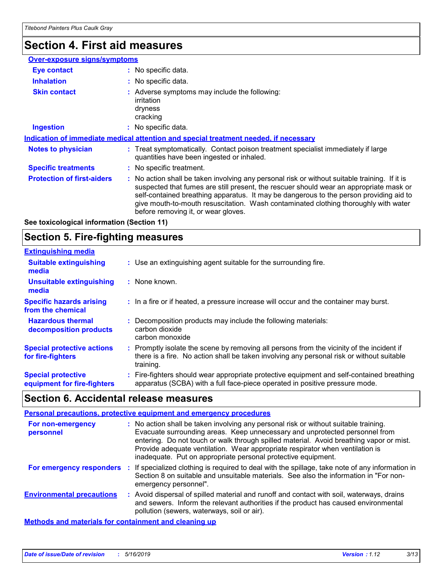### **Section 4. First aid measures**

| <b>Over-exposure signs/symptoms</b> |                                                                                                                                                                                                                                                                                                                                                                                                                 |
|-------------------------------------|-----------------------------------------------------------------------------------------------------------------------------------------------------------------------------------------------------------------------------------------------------------------------------------------------------------------------------------------------------------------------------------------------------------------|
| <b>Eye contact</b>                  | : No specific data.                                                                                                                                                                                                                                                                                                                                                                                             |
| <b>Inhalation</b>                   | : No specific data.                                                                                                                                                                                                                                                                                                                                                                                             |
| <b>Skin contact</b>                 | : Adverse symptoms may include the following:<br>irritation<br>dryness<br>cracking                                                                                                                                                                                                                                                                                                                              |
| <b>Ingestion</b>                    | : No specific data.                                                                                                                                                                                                                                                                                                                                                                                             |
|                                     | Indication of immediate medical attention and special treatment needed, if necessary                                                                                                                                                                                                                                                                                                                            |
| <b>Notes to physician</b>           | : Treat symptomatically. Contact poison treatment specialist immediately if large<br>quantities have been ingested or inhaled.                                                                                                                                                                                                                                                                                  |
| <b>Specific treatments</b>          | : No specific treatment.                                                                                                                                                                                                                                                                                                                                                                                        |
| <b>Protection of first-aiders</b>   | : No action shall be taken involving any personal risk or without suitable training. If it is<br>suspected that fumes are still present, the rescuer should wear an appropriate mask or<br>self-contained breathing apparatus. It may be dangerous to the person providing aid to<br>give mouth-to-mouth resuscitation. Wash contaminated clothing thoroughly with water<br>before removing it, or wear gloves. |
|                                     |                                                                                                                                                                                                                                                                                                                                                                                                                 |

**See toxicological information (Section 11)**

### **Section 5. Fire-fighting measures**

| <b>Extinguishing media</b>                               |                                                                                                                                                                                                     |
|----------------------------------------------------------|-----------------------------------------------------------------------------------------------------------------------------------------------------------------------------------------------------|
| <b>Suitable extinguishing</b><br>media                   | : Use an extinguishing agent suitable for the surrounding fire.                                                                                                                                     |
| Unsuitable extinguishing<br>media                        | : None known.                                                                                                                                                                                       |
| <b>Specific hazards arising</b><br>from the chemical     | : In a fire or if heated, a pressure increase will occur and the container may burst.                                                                                                               |
| <b>Hazardous thermal</b><br>decomposition products       | Decomposition products may include the following materials:<br>carbon dioxide<br>carbon monoxide                                                                                                    |
| <b>Special protective actions</b><br>for fire-fighters   | : Promptly isolate the scene by removing all persons from the vicinity of the incident if<br>there is a fire. No action shall be taken involving any personal risk or without suitable<br>training. |
| <b>Special protective</b><br>equipment for fire-fighters | : Fire-fighters should wear appropriate protective equipment and self-contained breathing<br>apparatus (SCBA) with a full face-piece operated in positive pressure mode.                            |

### **Section 6. Accidental release measures**

#### **Personal precautions, protective equipment and emergency procedures**

| For non-emergency<br>personnel   | : No action shall be taken involving any personal risk or without suitable training.<br>Evacuate surrounding areas. Keep unnecessary and unprotected personnel from<br>entering. Do not touch or walk through spilled material. Avoid breathing vapor or mist.<br>Provide adequate ventilation. Wear appropriate respirator when ventilation is<br>inadequate. Put on appropriate personal protective equipment. |
|----------------------------------|------------------------------------------------------------------------------------------------------------------------------------------------------------------------------------------------------------------------------------------------------------------------------------------------------------------------------------------------------------------------------------------------------------------|
| For emergency responders         | : If specialized clothing is required to deal with the spillage, take note of any information in<br>Section 8 on suitable and unsuitable materials. See also the information in "For non-<br>emergency personnel".                                                                                                                                                                                               |
| <b>Environmental precautions</b> | : Avoid dispersal of spilled material and runoff and contact with soil, waterways, drains<br>and sewers. Inform the relevant authorities if the product has caused environmental<br>pollution (sewers, waterways, soil or air).                                                                                                                                                                                  |
|                                  |                                                                                                                                                                                                                                                                                                                                                                                                                  |

**Methods and materials for containment and cleaning up**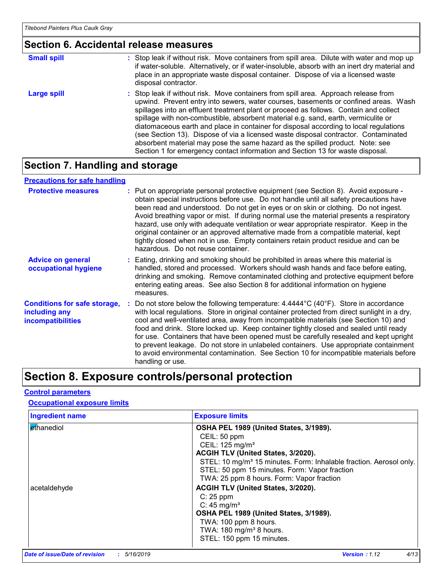#### **Section 6. Accidental release measures**

| <b>Small spill</b> | : Stop leak if without risk. Move containers from spill area. Dilute with water and mop up<br>if water-soluble. Alternatively, or if water-insoluble, absorb with an inert dry material and<br>place in an appropriate waste disposal container. Dispose of via a licensed waste<br>disposal contractor.                                                                                                                                                                                                                                                                                                                                                                                                     |
|--------------------|--------------------------------------------------------------------------------------------------------------------------------------------------------------------------------------------------------------------------------------------------------------------------------------------------------------------------------------------------------------------------------------------------------------------------------------------------------------------------------------------------------------------------------------------------------------------------------------------------------------------------------------------------------------------------------------------------------------|
| Large spill        | : Stop leak if without risk. Move containers from spill area. Approach release from<br>upwind. Prevent entry into sewers, water courses, basements or confined areas. Wash<br>spillages into an effluent treatment plant or proceed as follows. Contain and collect<br>spillage with non-combustible, absorbent material e.g. sand, earth, vermiculite or<br>diatomaceous earth and place in container for disposal according to local regulations<br>(see Section 13). Dispose of via a licensed waste disposal contractor. Contaminated<br>absorbent material may pose the same hazard as the spilled product. Note: see<br>Section 1 for emergency contact information and Section 13 for waste disposal. |

### **Section 7. Handling and storage**

#### **Advice on general occupational hygiene Conditions for safe storage, including any incompatibilities** Eating, drinking and smoking should be prohibited in areas where this material is **:** handled, stored and processed. Workers should wash hands and face before eating, drinking and smoking. Remove contaminated clothing and protective equipment before entering eating areas. See also Section 8 for additional information on hygiene measures. Do not store below the following temperature: 4.4444°C (40°F). Store in accordance **:** with local regulations. Store in original container protected from direct sunlight in a dry, cool and well-ventilated area, away from incompatible materials (see Section 10) and food and drink. Store locked up. Keep container tightly closed and sealed until ready for use. Containers that have been opened must be carefully resealed and kept upright to prevent leakage. Do not store in unlabeled containers. Use appropriate containment to avoid environmental contamination. See Section 10 for incompatible materials before handling or use. **Protective measures** : Put on appropriate personal protective equipment (see Section 8). Avoid exposure obtain special instructions before use. Do not handle until all safety precautions have been read and understood. Do not get in eyes or on skin or clothing. Do not ingest. Avoid breathing vapor or mist. If during normal use the material presents a respiratory hazard, use only with adequate ventilation or wear appropriate respirator. Keep in the original container or an approved alternative made from a compatible material, kept tightly closed when not in use. Empty containers retain product residue and can be hazardous. Do not reuse container. **Precautions for safe handling**

### **Section 8. Exposure controls/personal protection**

#### **Control parameters**

#### **Occupational exposure limits**

| <b>Ingredient name</b> | <b>Exposure limits</b>                                                         |
|------------------------|--------------------------------------------------------------------------------|
| Ethanediol             | OSHA PEL 1989 (United States, 3/1989).                                         |
|                        | CEIL: 50 ppm                                                                   |
|                        | CEIL: 125 mg/m <sup>3</sup>                                                    |
|                        | ACGIH TLV (United States, 3/2020).                                             |
|                        | STEL: 10 mg/m <sup>3</sup> 15 minutes. Form: Inhalable fraction. Aerosol only. |
|                        | STEL: 50 ppm 15 minutes. Form: Vapor fraction                                  |
|                        | TWA: 25 ppm 8 hours. Form: Vapor fraction                                      |
| acetaldehyde           | ACGIH TLV (United States, 3/2020).                                             |
|                        | $C: 25$ ppm                                                                    |
|                        | C: $45 \text{ mg/m}^3$                                                         |
|                        | OSHA PEL 1989 (United States, 3/1989).                                         |
|                        | TWA: 100 ppm 8 hours.                                                          |
|                        | TWA: $180 \text{ mg/m}^3$ 8 hours.                                             |
|                        | STEL: 150 ppm 15 minutes.                                                      |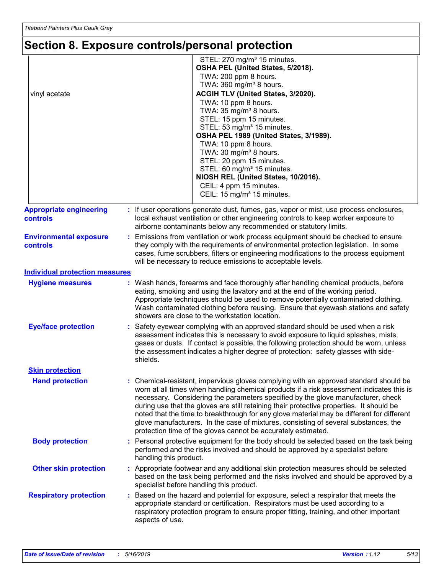### **Section 8. Exposure controls/personal protection**

| vinyl acetate                                     | STEL: 270 mg/m <sup>3</sup> 15 minutes.<br>OSHA PEL (United States, 5/2018).<br>TWA: 200 ppm 8 hours.<br>TWA: 360 mg/m <sup>3</sup> 8 hours.<br>ACGIH TLV (United States, 3/2020).<br>TWA: 10 ppm 8 hours.<br>TWA: 35 mg/m <sup>3</sup> 8 hours.<br>STEL: 15 ppm 15 minutes.<br>STEL: 53 mg/m <sup>3</sup> 15 minutes.<br>OSHA PEL 1989 (United States, 3/1989).<br>TWA: 10 ppm 8 hours.<br>TWA: 30 mg/m <sup>3</sup> 8 hours.<br>STEL: 20 ppm 15 minutes.<br>STEL: 60 mg/m <sup>3</sup> 15 minutes.<br>NIOSH REL (United States, 10/2016).<br>CEIL: 4 ppm 15 minutes.<br>CEIL: 15 mg/m <sup>3</sup> 15 minutes.     |
|---------------------------------------------------|----------------------------------------------------------------------------------------------------------------------------------------------------------------------------------------------------------------------------------------------------------------------------------------------------------------------------------------------------------------------------------------------------------------------------------------------------------------------------------------------------------------------------------------------------------------------------------------------------------------------|
| <b>Appropriate engineering</b><br><b>controls</b> | : If user operations generate dust, fumes, gas, vapor or mist, use process enclosures,<br>local exhaust ventilation or other engineering controls to keep worker exposure to<br>airborne contaminants below any recommended or statutory limits.                                                                                                                                                                                                                                                                                                                                                                     |
| <b>Environmental exposure</b><br>controls         | Emissions from ventilation or work process equipment should be checked to ensure<br>they comply with the requirements of environmental protection legislation. In some<br>cases, fume scrubbers, filters or engineering modifications to the process equipment<br>will be necessary to reduce emissions to acceptable levels.                                                                                                                                                                                                                                                                                        |
| <b>Individual protection measures</b>             |                                                                                                                                                                                                                                                                                                                                                                                                                                                                                                                                                                                                                      |
| <b>Hygiene measures</b>                           | Wash hands, forearms and face thoroughly after handling chemical products, before<br>eating, smoking and using the lavatory and at the end of the working period.<br>Appropriate techniques should be used to remove potentially contaminated clothing.<br>Wash contaminated clothing before reusing. Ensure that eyewash stations and safety<br>showers are close to the workstation location.                                                                                                                                                                                                                      |
| <b>Eye/face protection</b>                        | Safety eyewear complying with an approved standard should be used when a risk<br>assessment indicates this is necessary to avoid exposure to liquid splashes, mists,<br>gases or dusts. If contact is possible, the following protection should be worn, unless<br>the assessment indicates a higher degree of protection: safety glasses with side-<br>shields.                                                                                                                                                                                                                                                     |
| <b>Skin protection</b>                            |                                                                                                                                                                                                                                                                                                                                                                                                                                                                                                                                                                                                                      |
| <b>Hand protection</b>                            | Chemical-resistant, impervious gloves complying with an approved standard should be<br>worn at all times when handling chemical products if a risk assessment indicates this is<br>necessary. Considering the parameters specified by the glove manufacturer, check<br>during use that the gloves are still retaining their protective properties. It should be<br>noted that the time to breakthrough for any glove material may be different for different<br>glove manufacturers. In the case of mixtures, consisting of several substances, the<br>protection time of the gloves cannot be accurately estimated. |
| <b>Body protection</b>                            | : Personal protective equipment for the body should be selected based on the task being<br>performed and the risks involved and should be approved by a specialist before<br>handling this product.                                                                                                                                                                                                                                                                                                                                                                                                                  |
| <b>Other skin protection</b>                      | : Appropriate footwear and any additional skin protection measures should be selected<br>based on the task being performed and the risks involved and should be approved by a<br>specialist before handling this product.                                                                                                                                                                                                                                                                                                                                                                                            |
| <b>Respiratory protection</b>                     | Based on the hazard and potential for exposure, select a respirator that meets the<br>appropriate standard or certification. Respirators must be used according to a<br>respiratory protection program to ensure proper fitting, training, and other important<br>aspects of use.                                                                                                                                                                                                                                                                                                                                    |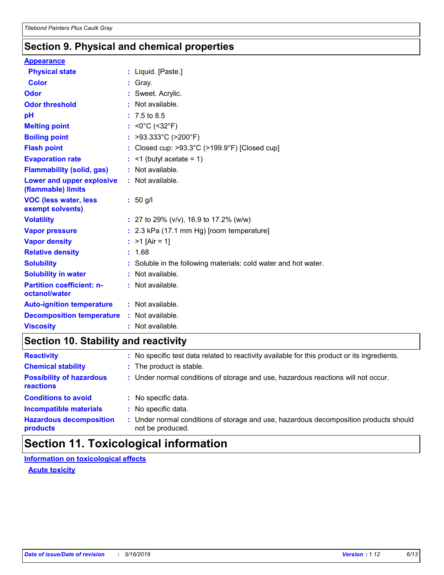### **Section 9. Physical and chemical properties**

#### **Appearance**

| <b>Physical state</b>                             | : Liquid. [Paste.]                                                 |
|---------------------------------------------------|--------------------------------------------------------------------|
| <b>Color</b>                                      | Gray.                                                              |
| <b>Odor</b>                                       | : Sweet. Acrylic.                                                  |
| <b>Odor threshold</b>                             | $:$ Not available.                                                 |
| pH                                                | $: 7.5 \text{ to } 8.5$                                            |
| <b>Melting point</b>                              | : <0°C (<32°F)                                                     |
| <b>Boiling point</b>                              | : >93.333°C (>200°F)                                               |
| <b>Flash point</b>                                | : Closed cup: $>93.3^{\circ}$ C ( $>199.9^{\circ}$ F) [Closed cup] |
| <b>Evaporation rate</b>                           | $<$ 1 (butyl acetate = 1)                                          |
| <b>Flammability (solid, gas)</b>                  | : Not available.                                                   |
| Lower and upper explosive<br>(flammable) limits   | : Not available.                                                   |
| <b>VOC (less water, less</b><br>exempt solvents)  | $: 50$ g/l                                                         |
| <b>Volatility</b>                                 | : 27 to 29% ( $v/v$ ), 16.9 to 17.2% ( $w/w$ )                     |
| <b>Vapor pressure</b>                             | $: 2.3$ kPa (17.1 mm Hg) [room temperature]                        |
| <b>Vapor density</b>                              | : $>1$ [Air = 1]                                                   |
| <b>Relative density</b>                           | : 1.68                                                             |
| <b>Solubility</b>                                 | Soluble in the following materials: cold water and hot water.      |
| <b>Solubility in water</b>                        | : Not available.                                                   |
| <b>Partition coefficient: n-</b><br>octanol/water | : Not available.                                                   |
| <b>Auto-ignition temperature</b>                  | $:$ Not available.                                                 |
| <b>Decomposition temperature</b>                  | : Not available.                                                   |
| <b>Viscosity</b>                                  | : Not available.                                                   |

### **Section 10. Stability and reactivity**

| <b>Reactivity</b>                            |    | : No specific test data related to reactivity available for this product or its ingredients.              |
|----------------------------------------------|----|-----------------------------------------------------------------------------------------------------------|
| <b>Chemical stability</b>                    |    | : The product is stable.                                                                                  |
| <b>Possibility of hazardous</b><br>reactions |    | : Under normal conditions of storage and use, hazardous reactions will not occur.                         |
| <b>Conditions to avoid</b>                   |    | : No specific data.                                                                                       |
| <b>Incompatible materials</b>                | ÷. | No specific data.                                                                                         |
| <b>Hazardous decomposition</b><br>products   |    | : Under normal conditions of storage and use, hazardous decomposition products should<br>not be produced. |

### **Section 11. Toxicological information**

**Information on toxicological effects**

**Acute toxicity**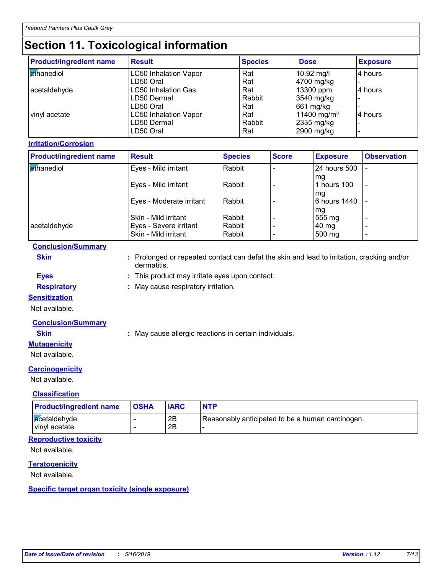### **Section 11. Toxicological information**

| <b>Product/ingredient name</b> | <b>Result</b>                | <b>Species</b> | <b>Dose</b>             | <b>Exposure</b> |
|--------------------------------|------------------------------|----------------|-------------------------|-----------------|
| <b>ethanediol</b>              | <b>LC50 Inhalation Vapor</b> | Rat            | 10.92 mg/l              | 4 hours         |
|                                | LD50 Oral                    | Rat            | 4700 mg/kg              |                 |
| acetaldehyde                   | LC50 Inhalation Gas.         | Rat            | 13300 ppm               | 4 hours         |
|                                | LD50 Dermal                  | Rabbit         | 3540 mg/kg              |                 |
|                                | LD50 Oral                    | Rat            | 661 mg/kg               |                 |
| vinyl acetate                  | <b>LC50 Inhalation Vapor</b> | Rat            | 11400 mg/m <sup>3</sup> | l4 hours        |
|                                | LD50 Dermal                  | Rabbit         | 2335 mg/kg              |                 |
|                                | LD50 Oral                    | Rat            | 2900 mg/kg              |                 |

#### **Irritation/Corrosion**

| <b>Product/ingredient name</b> | <b>Result</b>            | <b>Species</b> | <b>Score</b> | <b>Exposure</b>    | <b>Observation</b>       |
|--------------------------------|--------------------------|----------------|--------------|--------------------|--------------------------|
| ethanediol                     | Eyes - Mild irritant     | Rabbit         |              | 24 hours 500       |                          |
|                                | Eyes - Mild irritant     | Rabbit         |              | mq<br>hours 100    | $\overline{\phantom{a}}$ |
|                                | Eyes - Moderate irritant | Rabbit         |              | mq<br>6 hours 1440 |                          |
|                                | Skin - Mild irritant     | Rabbit         |              | mg<br>555 mg       |                          |
| acetaldehyde                   | Eyes - Severe irritant   | Rabbit         |              | 40 mg              | $\overline{\phantom{0}}$ |
|                                | Skin - Mild irritant     | Rabbit         |              | 500 mg             | $\overline{\phantom{0}}$ |

#### **Conclusion/Summary**

**Skin :** Prolonged or repeated contact can defat the skin and lead to irritation, cracking and/or dermatitis.

**Eyes :** This product may irritate eyes upon contact.

**Respiratory :** May cause respiratory irritation.

#### **Sensitization**

Not available.

#### **Conclusion/Summary**

**Skin :** May cause allergic reactions in certain individuals.

#### **Mutagenicity**

Not available.

#### **Carcinogenicity**

Not available.

#### **Classification**

| <b>Product/ingredient name</b> | <b>OSHA</b> | <b>IARC</b> |                                                  |
|--------------------------------|-------------|-------------|--------------------------------------------------|
| acetaldehyde<br>vinyl acetate  |             | 2B<br>2Β    | Reasonably anticipated to be a human carcinogen. |

#### **Reproductive toxicity**

Not available.

#### **Teratogenicity**

Not available.

#### **Specific target organ toxicity (single exposure)**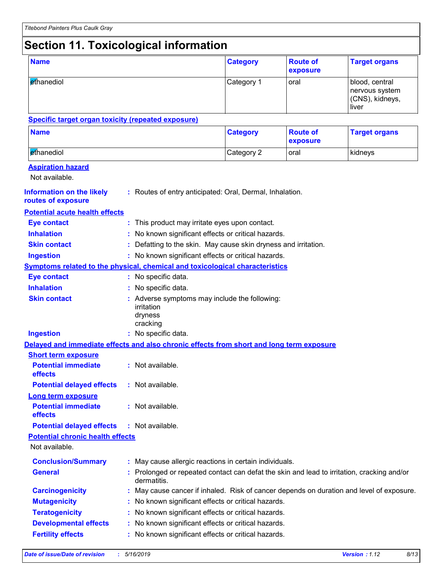### **Section 11. Toxicological information**

| <b>Name</b>                                                                              |  |                                                                                                           | <b>Category</b> | <b>Route of</b><br>exposure | <b>Target organs</b>                                         |  |  |
|------------------------------------------------------------------------------------------|--|-----------------------------------------------------------------------------------------------------------|-----------------|-----------------------------|--------------------------------------------------------------|--|--|
| ethanediol                                                                               |  |                                                                                                           | Category 1      | oral                        | blood, central<br>nervous system<br>(CNS), kidneys,<br>liver |  |  |
| <b>Specific target organ toxicity (repeated exposure)</b>                                |  |                                                                                                           |                 |                             |                                                              |  |  |
| <b>Name</b>                                                                              |  |                                                                                                           | <b>Category</b> | <b>Route of</b><br>exposure | <b>Target organs</b>                                         |  |  |
| ethanediol                                                                               |  |                                                                                                           | Category 2      | oral                        | kidneys                                                      |  |  |
| <b>Aspiration hazard</b><br>Not available.                                               |  |                                                                                                           |                 |                             |                                                              |  |  |
| <b>Information on the likely</b><br>routes of exposure                                   |  | : Routes of entry anticipated: Oral, Dermal, Inhalation.                                                  |                 |                             |                                                              |  |  |
| <b>Potential acute health effects</b>                                                    |  |                                                                                                           |                 |                             |                                                              |  |  |
| <b>Eye contact</b>                                                                       |  | This product may irritate eyes upon contact.                                                              |                 |                             |                                                              |  |  |
| <b>Inhalation</b>                                                                        |  | No known significant effects or critical hazards.                                                         |                 |                             |                                                              |  |  |
| <b>Skin contact</b>                                                                      |  | Defatting to the skin. May cause skin dryness and irritation.                                             |                 |                             |                                                              |  |  |
| <b>Ingestion</b>                                                                         |  | : No known significant effects or critical hazards.                                                       |                 |                             |                                                              |  |  |
| <b>Symptoms related to the physical, chemical and toxicological characteristics</b>      |  |                                                                                                           |                 |                             |                                                              |  |  |
| <b>Eye contact</b>                                                                       |  | : No specific data.                                                                                       |                 |                             |                                                              |  |  |
| <b>Inhalation</b>                                                                        |  | : No specific data.                                                                                       |                 |                             |                                                              |  |  |
| <b>Skin contact</b>                                                                      |  | : Adverse symptoms may include the following:<br>irritation<br>dryness<br>cracking                        |                 |                             |                                                              |  |  |
| <b>Ingestion</b>                                                                         |  | : No specific data.                                                                                       |                 |                             |                                                              |  |  |
| Delayed and immediate effects and also chronic effects from short and long term exposure |  |                                                                                                           |                 |                             |                                                              |  |  |
| <b>Short term exposure</b>                                                               |  |                                                                                                           |                 |                             |                                                              |  |  |
| <b>Potential immediate</b><br>effects                                                    |  | : Not available.                                                                                          |                 |                             |                                                              |  |  |
| <b>Potential delayed effects</b>                                                         |  | : Not available.                                                                                          |                 |                             |                                                              |  |  |
| <b>Long term exposure</b><br><b>Potential immediate</b><br>effects                       |  | : Not available.                                                                                          |                 |                             |                                                              |  |  |
| <b>Potential delayed effects</b>                                                         |  | : Not available.                                                                                          |                 |                             |                                                              |  |  |
| <b>Potential chronic health effects</b>                                                  |  |                                                                                                           |                 |                             |                                                              |  |  |
| Not available.                                                                           |  |                                                                                                           |                 |                             |                                                              |  |  |
| <b>Conclusion/Summary</b>                                                                |  | : May cause allergic reactions in certain individuals.                                                    |                 |                             |                                                              |  |  |
| <b>General</b>                                                                           |  | : Prolonged or repeated contact can defat the skin and lead to irritation, cracking and/or<br>dermatitis. |                 |                             |                                                              |  |  |
| <b>Carcinogenicity</b>                                                                   |  | May cause cancer if inhaled. Risk of cancer depends on duration and level of exposure.                    |                 |                             |                                                              |  |  |
| <b>Mutagenicity</b>                                                                      |  | No known significant effects or critical hazards.                                                         |                 |                             |                                                              |  |  |
| <b>Teratogenicity</b>                                                                    |  | No known significant effects or critical hazards.                                                         |                 |                             |                                                              |  |  |
| <b>Developmental effects</b>                                                             |  | No known significant effects or critical hazards.                                                         |                 |                             |                                                              |  |  |
| <b>Fertility effects</b>                                                                 |  | No known significant effects or critical hazards.                                                         |                 |                             |                                                              |  |  |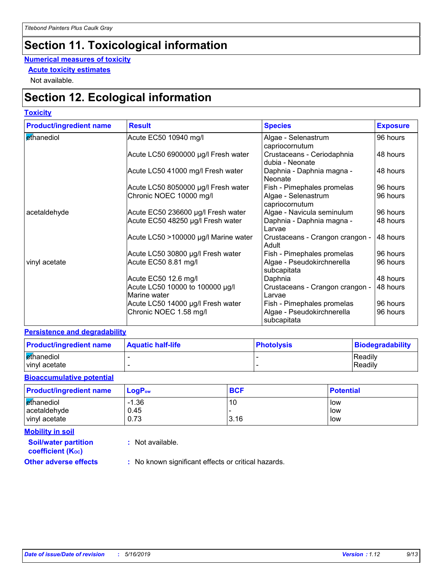### **Section 11. Toxicological information**

#### **Numerical measures of toxicity**

**Acute toxicity estimates**

Not available.

### **Section 12. Ecological information**

#### **Toxicity**

| <b>Product/ingredient name</b> | <b>Result</b>                        | <b>Species</b>                                | <b>Exposure</b> |
|--------------------------------|--------------------------------------|-----------------------------------------------|-----------------|
| ethanediol                     | Acute EC50 10940 mg/l                | Algae - Selenastrum                           | 96 hours        |
|                                |                                      | capriocornutum                                |                 |
|                                | Acute LC50 6900000 µg/l Fresh water  | Crustaceans - Ceriodaphnia<br>dubia - Neonate | 48 hours        |
|                                | Acute LC50 41000 mg/l Fresh water    | Daphnia - Daphnia magna -<br>Neonate          | 48 hours        |
|                                | Acute LC50 8050000 µg/l Fresh water  | Fish - Pimephales promelas                    | 96 hours        |
|                                | Chronic NOEC 10000 mg/l              | Algae - Selenastrum                           | 96 hours        |
|                                |                                      | capriocornutum                                |                 |
| acetaldehyde                   | Acute EC50 236600 µg/l Fresh water   | Algae - Navicula seminulum                    | 96 hours        |
|                                | Acute EC50 48250 µg/l Fresh water    | Daphnia - Daphnia magna -<br>l Larvae         | 48 hours        |
|                                | Acute LC50 >100000 µg/l Marine water | Crustaceans - Crangon crangon -<br>Adult      | 48 hours        |
|                                | Acute LC50 30800 µg/l Fresh water    | Fish - Pimephales promelas                    | 96 hours        |
| vinyl acetate                  | Acute EC50 8.81 mg/l                 | Algae - Pseudokirchnerella<br>subcapitata     | 96 hours        |
|                                | Acute EC50 12.6 mg/l                 | Daphnia                                       | 48 hours        |
|                                | Acute LC50 10000 to 100000 µg/l      | Crustaceans - Crangon crangon -               | 48 hours        |
|                                | Marine water                         | Larvae                                        |                 |
|                                | Acute LC50 14000 µg/l Fresh water    | Fish - Pimephales promelas                    | 96 hours        |
|                                | Chronic NOEC 1.58 mg/l               | Algae - Pseudokirchnerella<br>subcapitata     | 96 hours        |

#### **Persistence and degradability**

| <b>Product/ingredient name</b> | <b>Aquatic half-life</b> | <b>Photolysis</b> | Biodegradability |
|--------------------------------|--------------------------|-------------------|------------------|
| ethanediol                     |                          |                   | Readily          |
| vinyl acetate                  |                          |                   | Readily          |

#### **Bioaccumulative potential**

| <b>Product/ingredient name</b> | $LogP_{ow}$ | <b>BCF</b> | <b>Potential</b> |
|--------------------------------|-------------|------------|------------------|
| ethanediol                     | $-1.36$     | 10         | low              |
| acetaldehyde                   | 0.45        |            | low              |
| vinyl acetate                  | 0.73        | 3.16       | low              |

**Mobility in soil**

**:** Not available.

**coefficient (KOC)**

**Soil/water partition** 

**Other adverse effects** : No known significant effects or critical hazards.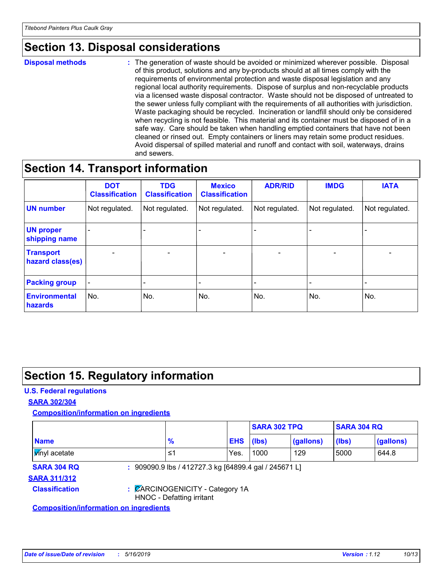### **Section 13. Disposal considerations**

#### **Disposal methods :**

The generation of waste should be avoided or minimized wherever possible. Disposal of this product, solutions and any by-products should at all times comply with the requirements of environmental protection and waste disposal legislation and any regional local authority requirements. Dispose of surplus and non-recyclable products via a licensed waste disposal contractor. Waste should not be disposed of untreated to the sewer unless fully compliant with the requirements of all authorities with jurisdiction. Waste packaging should be recycled. Incineration or landfill should only be considered when recycling is not feasible. This material and its container must be disposed of in a safe way. Care should be taken when handling emptied containers that have not been cleaned or rinsed out. Empty containers or liners may retain some product residues. Avoid dispersal of spilled material and runoff and contact with soil, waterways, drains and sewers.

### **Section 14. Transport information**

|                                      | <b>DOT</b><br><b>Classification</b> | <b>TDG</b><br><b>Classification</b> | <b>Mexico</b><br><b>Classification</b> | <b>ADR/RID</b>               | <b>IMDG</b>              | <b>IATA</b>              |
|--------------------------------------|-------------------------------------|-------------------------------------|----------------------------------------|------------------------------|--------------------------|--------------------------|
| <b>UN number</b>                     | Not regulated.                      | Not regulated.                      | Not regulated.                         | Not regulated.               | Not regulated.           | Not regulated.           |
| <b>UN proper</b><br>shipping name    | $\qquad \qquad \blacksquare$        |                                     |                                        |                              |                          |                          |
| <b>Transport</b><br>hazard class(es) | $\overline{\phantom{m}}$            | $\overline{\phantom{0}}$            | $\qquad \qquad$                        | $\qquad \qquad \blacksquare$ | $\overline{\phantom{0}}$ | $\overline{\phantom{0}}$ |
| <b>Packing group</b>                 | $\qquad \qquad \blacksquare$        |                                     |                                        |                              |                          |                          |
| <b>Environmental</b><br>hazards      | No.                                 | No.                                 | No.                                    | No.                          | No.                      | No.                      |

### **Section 15. Regulatory information**

#### **U.S. Federal regulations**

#### **SARA 302/304**

**Composition/information on ingredients**

|                                               |                           |                                                       | <b>SARA 302 TPQ</b> |           | <b>SARA 304 RQ</b> |           |
|-----------------------------------------------|---------------------------|-------------------------------------------------------|---------------------|-----------|--------------------|-----------|
| <b>Name</b>                                   | $\frac{9}{6}$             |                                                       | <b>EHS</b><br>(lbs) | (gallons) | (lbs)              | (gallons) |
| <b>Vinyl</b> acetate                          | 1≥                        | Yes.                                                  | 1000                | 129       | 5000               | 644.8     |
| <b>SARA 304 RQ</b>                            |                           | : 909090.9 lbs / 412727.3 kg [64899.4 gal / 245671 L] |                     |           |                    |           |
| <b>SARA 311/312</b>                           |                           |                                                       |                     |           |                    |           |
| <b>Classification</b>                         | HNOC - Defatting irritant | : CARCINOGENICITY - Category 1A                       |                     |           |                    |           |
| <b>Composition/information on ingredients</b> |                           |                                                       |                     |           |                    |           |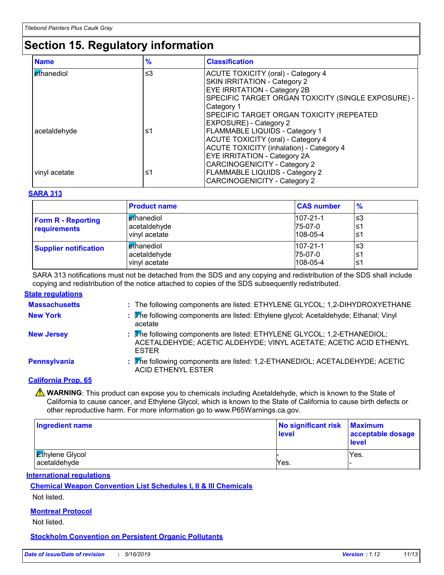### **Section 15. Regulatory information**

| <b>Name</b>       | $\frac{9}{6}$ | <b>Classification</b>                              |
|-------------------|---------------|----------------------------------------------------|
| <b>ethanediol</b> | $\leq$ 3      | ACUTE TOXICITY (oral) - Category 4                 |
|                   |               | <b>SKIN IRRITATION - Category 2</b>                |
|                   |               | <b>EYE IRRITATION - Category 2B</b>                |
|                   |               | SPECIFIC TARGET ORGAN TOXICITY (SINGLE EXPOSURE) - |
|                   |               | Category 1                                         |
|                   |               | SPECIFIC TARGET ORGAN TOXICITY (REPEATED           |
|                   |               | <b>EXPOSURE) - Category 2</b>                      |
| acetaldehyde      | ≤1            | <b>FLAMMABLE LIQUIDS - Category 1</b>              |
|                   |               | <b>ACUTE TOXICITY (oral) - Category 4</b>          |
|                   |               | <b>ACUTE TOXICITY (inhalation) - Category 4</b>    |
|                   |               | <b>EYE IRRITATION - Category 2A</b>                |
|                   |               | <b>CARCINOGENICITY - Category 2</b>                |
| vinyl acetate     | ≤1            | <b>FLAMMABLE LIQUIDS - Category 2</b>              |
|                   |               | <b>CARCINOGENICITY - Category 2</b>                |

#### **SARA 313**

|                                           | <b>Product name</b>                                         | <b>CAS number</b>                           | $\frac{9}{6}$    |
|-------------------------------------------|-------------------------------------------------------------|---------------------------------------------|------------------|
| <b>Form R - Reporting</b><br>requirements | l <mark>e</mark> thanediol<br>acetaldehyde<br>vinyl acetate | $107 - 21 - 1$<br>75-07-0<br>$108 - 05 - 4$ | '≤3<br>≤1<br>≤1  |
| <b>Supplier notification</b>              | <b>Ethanediol</b><br>acetaldehyde<br>vinyl acetate          | $107 - 21 - 1$<br>75-07-0<br>$108 - 05 - 4$ | צ≥ا<br>≤1<br>∣≤1 |

SARA 313 notifications must not be detached from the SDS and any copying and redistribution of the SDS shall include copying and redistribution of the notice attached to copies of the SDS subsequently redistributed.

#### **State regulations**

| <b>Massachusetts</b>        | : The following components are listed: ETHYLENE GLYCOL; 1,2-DIHYDROXYETHANE                                                                                  |
|-----------------------------|--------------------------------------------------------------------------------------------------------------------------------------------------------------|
| <b>New York</b>             | : The following components are listed: Ethylene glycol; Acetaldehyde; Ethanal; Vinyl<br>acetate                                                              |
| <b>New Jersey</b>           | : The following components are listed: ETHYLENE GLYCOL; 1,2-ETHANEDIOL;<br>ACETALDEHYDE; ACETIC ALDEHYDE; VINYL ACETATE; ACETIC ACID ETHENYL<br><b>ESTER</b> |
| Pennsylvania                | : The following components are listed: 1,2-ETHANEDIOL; ACETALDEHYDE; ACETIC<br><b>ACID ETHENYL ESTER</b>                                                     |
| $\sim$ $\sim$ $\sim$ $\sim$ |                                                                                                                                                              |

#### **California Prop. 65**

**A** WARNING: This product can expose you to chemicals including Acetaldehyde, which is known to the State of California to cause cancer, and Ethylene Glycol, which is known to the State of California to cause birth defects or other reproductive harm. For more information go to www.P65Warnings.ca.gov.

| <b>Ingredient name</b>                 | No significant risk<br>level | <b>Maximum</b><br>acceptable dosage<br><b>level</b> |
|----------------------------------------|------------------------------|-----------------------------------------------------|
| <b>Ethylene Glycol</b><br>acetaldehyde | Yes.                         | Yes.                                                |
|                                        |                              |                                                     |

**International regulations**

**Chemical Weapon Convention List Schedules I, II & III Chemicals**

Not listed.

#### **Montreal Protocol**

Not listed.

**Stockholm Convention on Persistent Organic Pollutants**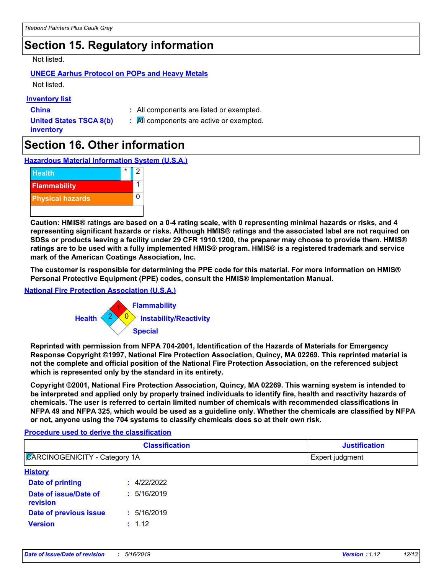### **Section 15. Regulatory information**

#### Not listed.

#### **UNECE Aarhus Protocol on POPs and Heavy Metals**

Not listed.

#### **Inventory list**

**China :** All components are listed or exempted.

**United States TSCA 8(b) inventory**

**:** All components are active or exempted.

### **Section 16. Other information**

**Hazardous Material Information System (U.S.A.)**



**Caution: HMIS® ratings are based on a 0-4 rating scale, with 0 representing minimal hazards or risks, and 4 representing significant hazards or risks. Although HMIS® ratings and the associated label are not required on SDSs or products leaving a facility under 29 CFR 1910.1200, the preparer may choose to provide them. HMIS® ratings are to be used with a fully implemented HMIS® program. HMIS® is a registered trademark and service mark of the American Coatings Association, Inc.**

**The customer is responsible for determining the PPE code for this material. For more information on HMIS® Personal Protective Equipment (PPE) codes, consult the HMIS® Implementation Manual.**

#### **National Fire Protection Association (U.S.A.)**



**Reprinted with permission from NFPA 704-2001, Identification of the Hazards of Materials for Emergency Response Copyright ©1997, National Fire Protection Association, Quincy, MA 02269. This reprinted material is not the complete and official position of the National Fire Protection Association, on the referenced subject which is represented only by the standard in its entirety.**

**Copyright ©2001, National Fire Protection Association, Quincy, MA 02269. This warning system is intended to be interpreted and applied only by properly trained individuals to identify fire, health and reactivity hazards of chemicals. The user is referred to certain limited number of chemicals with recommended classifications in NFPA 49 and NFPA 325, which would be used as a guideline only. Whether the chemicals are classified by NFPA or not, anyone using the 704 systems to classify chemicals does so at their own risk.**

#### **Procedure used to derive the classification**

| <b>Classification</b><br><b>ZARCINOGENICITY - Category 1A</b> |             | <b>Justification</b><br>Expert judgment |  |
|---------------------------------------------------------------|-------------|-----------------------------------------|--|
|                                                               |             |                                         |  |
| Date of printing                                              | : 4/22/2022 |                                         |  |
| Date of issue/Date of<br>revision                             | : 5/16/2019 |                                         |  |
| Date of previous issue                                        | : 5/16/2019 |                                         |  |
| <b>Version</b>                                                | : 1.12      |                                         |  |